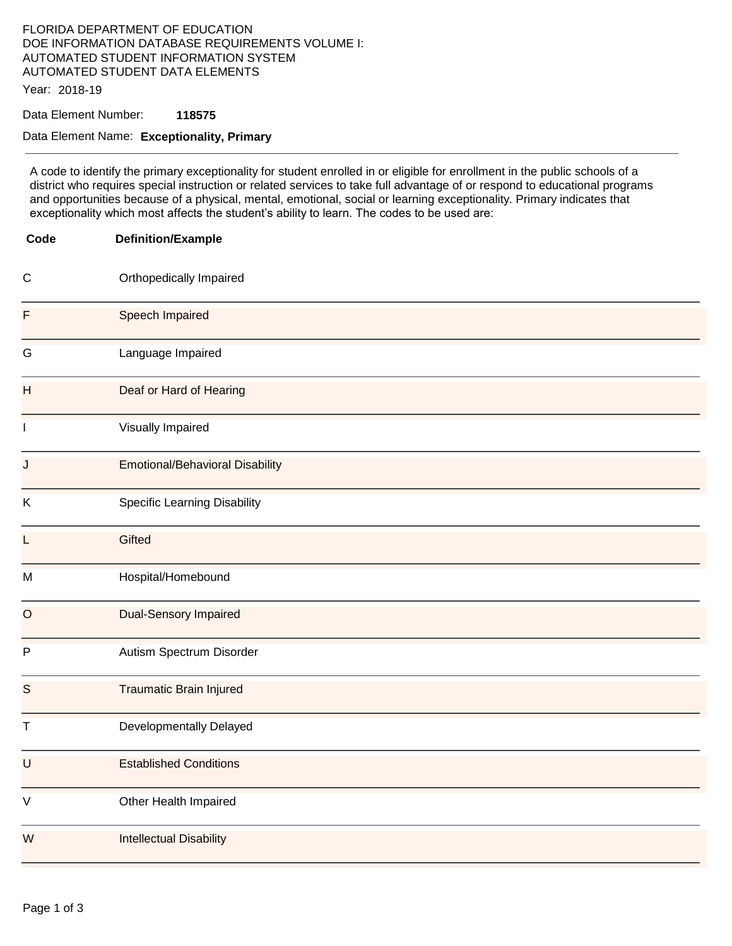# FLORIDA DEPARTMENT OF EDUCATION DOE INFORMATION DATABASE REQUIREMENTS VOLUME I: AUTOMATED STUDENT INFORMATION SYSTEM AUTOMATED STUDENT DATA ELEMENTS

Year: 2018-19

## Data Element Number: **118575**

#### Data Element Name: **Exceptionality, Primary**

A code to identify the primary exceptionality for student enrolled in or eligible for enrollment in the public schools of a district who requires special instruction or related services to take full advantage of or respond to educational programs and opportunities because of a physical, mental, emotional, social or learning exceptionality. Primary indicates that exceptionality which most affects the student's ability to learn. The codes to be used are:

| Code         | <b>Definition/Example</b>              |
|--------------|----------------------------------------|
| $\mathsf{C}$ | Orthopedically Impaired                |
| F            | Speech Impaired                        |
| G            | Language Impaired                      |
| H            | Deaf or Hard of Hearing                |
| $\mathbf{I}$ | Visually Impaired                      |
| J            | <b>Emotional/Behavioral Disability</b> |
| K            | <b>Specific Learning Disability</b>    |
| L            | Gifted                                 |
| M            | Hospital/Homebound                     |
| $\circ$      | <b>Dual-Sensory Impaired</b>           |
| $\sf P$      | Autism Spectrum Disorder               |
| S            | <b>Traumatic Brain Injured</b>         |
| Τ            | Developmentally Delayed                |
| U            | <b>Established Conditions</b>          |
| $\mathsf V$  | Other Health Impaired                  |
| W            | <b>Intellectual Disability</b>         |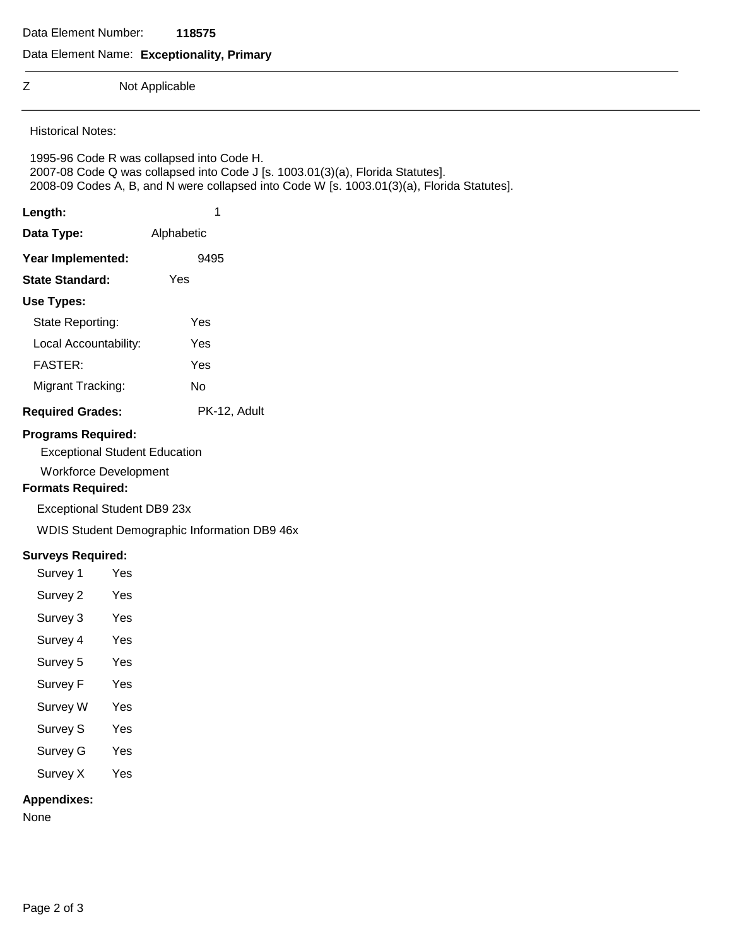Data Element Number: **118575** 

#### Data Element Name: **Exceptionality, Primary**

Z Not Applicable

Historical Notes:

1995-96 Code R was collapsed into Code H. 2007-08 Code Q was collapsed into Code J [s. 1003.01(3)(a), Florida Statutes]. 2008-09 Codes A, B, and N were collapsed into Code W [s. 1003.01(3)(a), Florida Statutes].

| Length:               | 1          |  |
|-----------------------|------------|--|
| Data Type:            | Alphabetic |  |
| Year Implemented:     | 9495       |  |
| State Standard:       | Yes        |  |
| Use Types:            |            |  |
| State Reporting:      | Yes        |  |
| Local Accountability: | Yes        |  |
| <b>FASTER:</b>        | Yes        |  |
|                       |            |  |

Migrant Tracking: No **Required Grades:** PK-12, Adult

#### **Programs Required:**

Exceptional Student Education

Workforce Development

### **Formats Required:**

Exceptional Student DB9 23x

WDIS Student Demographic Information DB9 46x

#### **Surveys Required:**

- Survey 1 Yes
- Survey 2 Yes
- Survey 3 Yes
- Survey 4 Yes
- Survey 5 Yes
- Survey F Yes
- Survey W Yes
- Survey S Yes
- Survey G Yes
- Survey X Yes

### **Appendixes:**

None